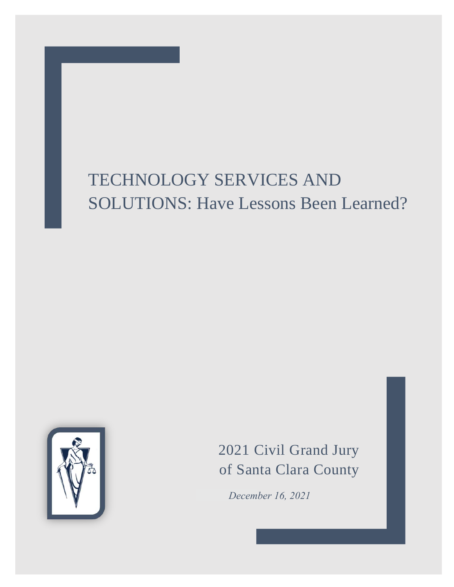# TECHNOLOGY SERVICES AND SOLUTIONS: Have Lessons Been Learned?



2021 Civil Grand Jury of Santa Clara County

*December 16, 2021*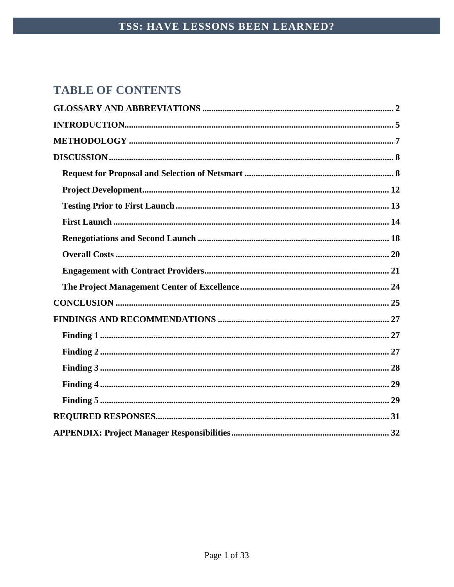# **TABLE OF CONTENTS**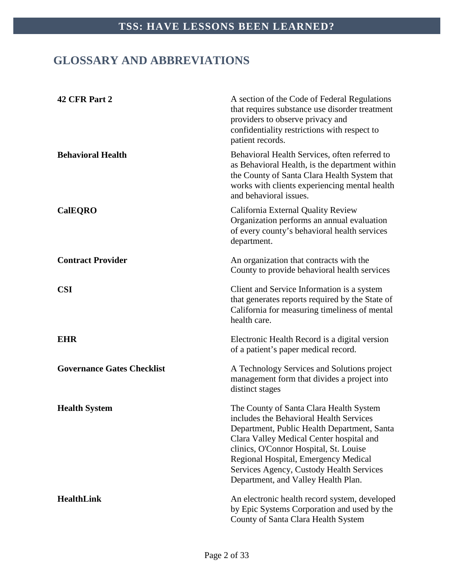# <span id="page-2-0"></span>**GLOSSARY AND ABBREVIATIONS**

| 42 CFR Part 2                     | A section of the Code of Federal Regulations<br>that requires substance use disorder treatment<br>providers to observe privacy and<br>confidentiality restrictions with respect to<br>patient records.                                                                                                                                             |
|-----------------------------------|----------------------------------------------------------------------------------------------------------------------------------------------------------------------------------------------------------------------------------------------------------------------------------------------------------------------------------------------------|
| <b>Behavioral Health</b>          | Behavioral Health Services, often referred to<br>as Behavioral Health, is the department within<br>the County of Santa Clara Health System that<br>works with clients experiencing mental health<br>and behavioral issues.                                                                                                                         |
| <b>CalEQRO</b>                    | California External Quality Review<br>Organization performs an annual evaluation<br>of every county's behavioral health services<br>department.                                                                                                                                                                                                    |
| <b>Contract Provider</b>          | An organization that contracts with the<br>County to provide behavioral health services                                                                                                                                                                                                                                                            |
| <b>CSI</b>                        | Client and Service Information is a system<br>that generates reports required by the State of<br>California for measuring timeliness of mental<br>health care.                                                                                                                                                                                     |
| <b>EHR</b>                        | Electronic Health Record is a digital version<br>of a patient's paper medical record.                                                                                                                                                                                                                                                              |
| <b>Governance Gates Checklist</b> | A Technology Services and Solutions project<br>management form that divides a project into<br>distinct stages                                                                                                                                                                                                                                      |
| <b>Health System</b>              | The County of Santa Clara Health System<br>includes the Behavioral Health Services<br>Department, Public Health Department, Santa<br>Clara Valley Medical Center hospital and<br>clinics, O'Connor Hospital, St. Louise<br>Regional Hospital, Emergency Medical<br>Services Agency, Custody Health Services<br>Department, and Valley Health Plan. |
| <b>HealthLink</b>                 | An electronic health record system, developed<br>by Epic Systems Corporation and used by the<br>County of Santa Clara Health System                                                                                                                                                                                                                |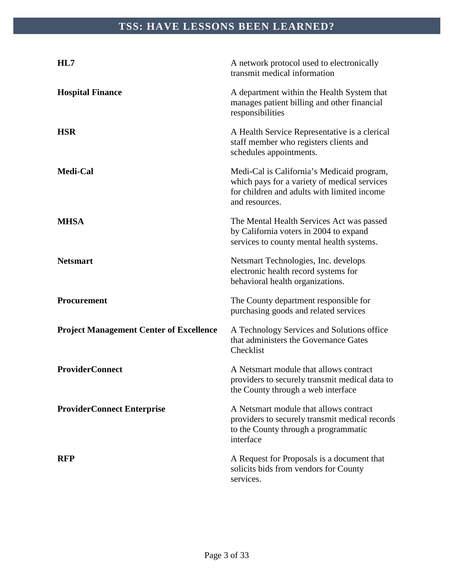| HL7                                            | A network protocol used to electronically<br>transmit medical information                                                                                   |  |
|------------------------------------------------|-------------------------------------------------------------------------------------------------------------------------------------------------------------|--|
| <b>Hospital Finance</b>                        | A department within the Health System that<br>manages patient billing and other financial<br>responsibilities                                               |  |
| <b>HSR</b>                                     | A Health Service Representative is a clerical<br>staff member who registers clients and<br>schedules appointments.                                          |  |
| Medi-Cal                                       | Medi-Cal is California's Medicaid program,<br>which pays for a variety of medical services<br>for children and adults with limited income<br>and resources. |  |
| <b>MHSA</b>                                    | The Mental Health Services Act was passed<br>by California voters in 2004 to expand<br>services to county mental health systems.                            |  |
| <b>Netsmart</b>                                | Netsmart Technologies, Inc. develops<br>electronic health record systems for<br>behavioral health organizations.                                            |  |
| Procurement                                    | The County department responsible for<br>purchasing goods and related services                                                                              |  |
| <b>Project Management Center of Excellence</b> | A Technology Services and Solutions office<br>that administers the Governance Gates<br>Checklist                                                            |  |
| <b>ProviderConnect</b>                         | A Netsmart module that allows contract<br>providers to securely transmit medical data to<br>the County through a web interface                              |  |
| <b>ProviderConnect Enterprise</b>              | A Netsmart module that allows contract<br>providers to securely transmit medical records<br>to the County through a programmatic<br>interface               |  |
| <b>RFP</b>                                     | A Request for Proposals is a document that<br>solicits bids from vendors for County<br>services.                                                            |  |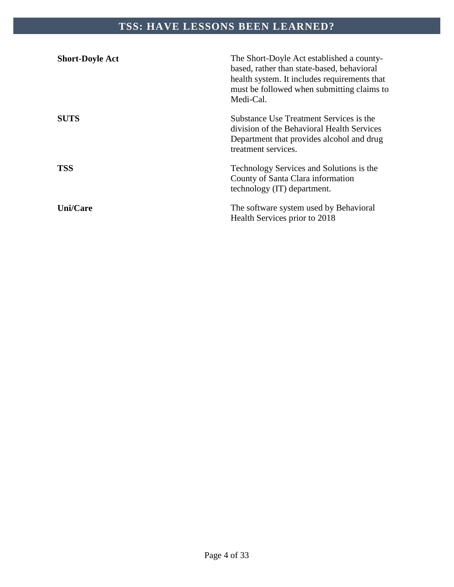| <b>Short-Doyle Act</b> | The Short-Doyle Act established a county-<br>based, rather than state-based, behavioral<br>health system. It includes requirements that<br>must be followed when submitting claims to<br>Medi-Cal. |
|------------------------|----------------------------------------------------------------------------------------------------------------------------------------------------------------------------------------------------|
| <b>SUTS</b>            | Substance Use Treatment Services is the<br>division of the Behavioral Health Services<br>Department that provides alcohol and drug<br>treatment services.                                          |
| <b>TSS</b>             | Technology Services and Solutions is the<br>County of Santa Clara information<br>technology (IT) department.                                                                                       |
| <b>Uni/Care</b>        | The software system used by Behavioral<br>Health Services prior to 2018                                                                                                                            |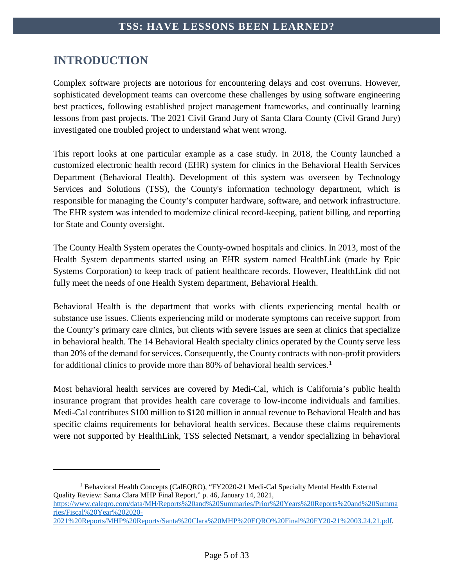# <span id="page-5-0"></span>**INTRODUCTION**

 $\overline{a}$ 

Complex software projects are notorious for encountering delays and cost overruns. However, sophisticated development teams can overcome these challenges by using software engineering best practices, following established project management frameworks, and continually learning lessons from past projects. The 2021 Civil Grand Jury of Santa Clara County (Civil Grand Jury) investigated one troubled project to understand what went wrong.

This report looks at one particular example as a case study. In 2018, the County launched a customized electronic health record (EHR) system for clinics in the Behavioral Health Services Department (Behavioral Health). Development of this system was overseen by Technology Services and Solutions (TSS), the County's information technology department, which is responsible for managing the County's computer hardware, software, and network infrastructure. The EHR system was intended to modernize clinical record-keeping, patient billing, and reporting for State and County oversight.

The County Health System operates the County-owned hospitals and clinics. In 2013, most of the Health System departments started using an EHR system named HealthLink (made by Epic Systems Corporation) to keep track of patient healthcare records. However, HealthLink did not fully meet the needs of one Health System department, Behavioral Health.

Behavioral Health is the department that works with clients experiencing mental health or substance use issues. Clients experiencing mild or moderate symptoms can receive support from the County's primary care clinics, but clients with severe issues are seen at clinics that specialize in behavioral health. The 14 Behavioral Health specialty clinics operated by the County serve less than 20% of the demand for services. Consequently, the County contracts with non-profit providers for additional clinics to provide more than 80% of behavioral health services.<sup>[1](#page-5-1)</sup>

Most behavioral health services are covered by Medi-Cal, which is California's public health insurance program that provides health care coverage to low-income individuals and families. Medi-Cal contributes \$100 million to \$120 million in annual revenue to Behavioral Health and has specific claims requirements for behavioral health services. Because these claims requirements were not supported by HealthLink, TSS selected Netsmart, a vendor specializing in behavioral

[https://www.caleqro.com/data/MH/Reports%20and%20Summaries/Prior%20Years%20Reports%20and%20Summa](https://www.caleqro.com/data/MH/Reports%20and%20Summaries/Prior%20Years%20Reports%20and%20Summaries/Fiscal%20Year%202020-2021%20Reports/MHP%20Reports/Santa%20Clara%20MHP%20EQRO%20Final%20FY20-21%2003.24.21.pdf) [ries/Fiscal%20Year%202020-](https://www.caleqro.com/data/MH/Reports%20and%20Summaries/Prior%20Years%20Reports%20and%20Summaries/Fiscal%20Year%202020-2021%20Reports/MHP%20Reports/Santa%20Clara%20MHP%20EQRO%20Final%20FY20-21%2003.24.21.pdf)

<span id="page-5-1"></span><sup>&</sup>lt;sup>1</sup> Behavioral Health Concepts (CalEQRO), "FY2020-21 Medi-Cal Specialty Mental Health External Quality Review: Santa Clara MHP Final Report," p. 46, January 14, 2021,

[<sup>2021%20</sup>Reports/MHP%20Reports/Santa%20Clara%20MHP%20EQRO%20Final%20FY20-21%2003.24.21.pdf.](https://www.caleqro.com/data/MH/Reports%20and%20Summaries/Prior%20Years%20Reports%20and%20Summaries/Fiscal%20Year%202020-2021%20Reports/MHP%20Reports/Santa%20Clara%20MHP%20EQRO%20Final%20FY20-21%2003.24.21.pdf)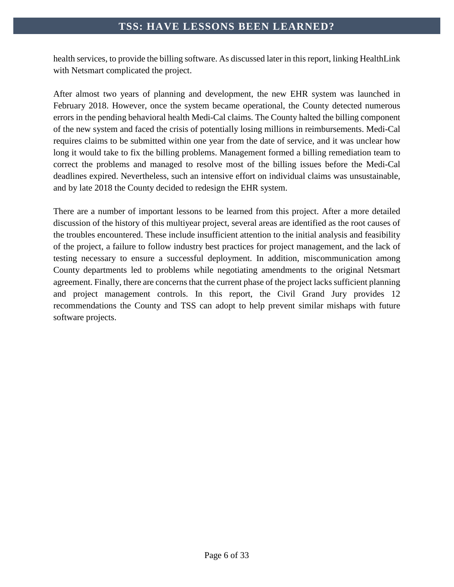health services, to provide the billing software. As discussed later in this report, linking HealthLink with Netsmart complicated the project.

After almost two years of planning and development, the new EHR system was launched in February 2018. However, once the system became operational, the County detected numerous errors in the pending behavioral health Medi-Cal claims. The County halted the billing component of the new system and faced the crisis of potentially losing millions in reimbursements. Medi-Cal requires claims to be submitted within one year from the date of service, and it was unclear how long it would take to fix the billing problems. Management formed a billing remediation team to correct the problems and managed to resolve most of the billing issues before the Medi-Cal deadlines expired. Nevertheless, such an intensive effort on individual claims was unsustainable, and by late 2018 the County decided to redesign the EHR system.

There are a number of important lessons to be learned from this project. After a more detailed discussion of the history of this multiyear project, several areas are identified as the root causes of the troubles encountered. These include insufficient attention to the initial analysis and feasibility of the project, a failure to follow industry best practices for project management, and the lack of testing necessary to ensure a successful deployment. In addition, miscommunication among County departments led to problems while negotiating amendments to the original Netsmart agreement. Finally, there are concerns that the current phase of the project lacks sufficient planning and project management controls. In this report, the Civil Grand Jury provides 12 recommendations the County and TSS can adopt to help prevent similar mishaps with future software projects.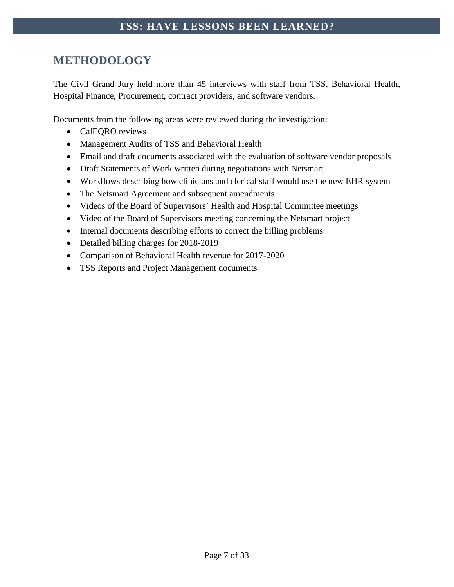# <span id="page-7-0"></span>**METHODOLOGY**

The Civil Grand Jury held more than 45 interviews with staff from TSS, Behavioral Health, Hospital Finance, Procurement, contract providers, and software vendors.

Documents from the following areas were reviewed during the investigation:

- CalEQRO reviews
- Management Audits of TSS and Behavioral Health
- Email and draft documents associated with the evaluation of software vendor proposals
- Draft Statements of Work written during negotiations with Netsmart
- Workflows describing how clinicians and clerical staff would use the new EHR system
- The Netsmart Agreement and subsequent amendments
- Videos of the Board of Supervisors' Health and Hospital Committee meetings
- Video of the Board of Supervisors meeting concerning the Netsmart project
- Internal documents describing efforts to correct the billing problems
- Detailed billing charges for 2018-2019
- Comparison of Behavioral Health revenue for 2017-2020
- TSS Reports and Project Management documents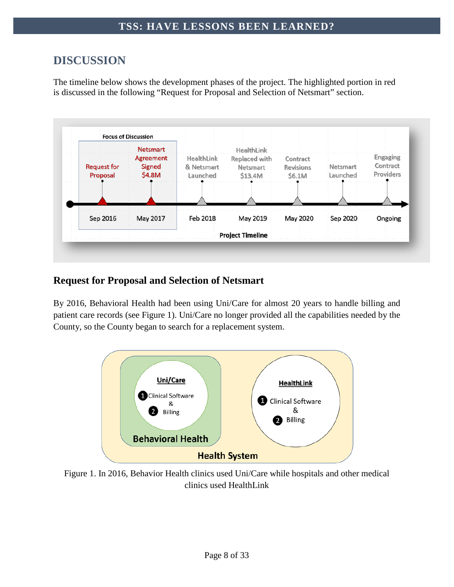# <span id="page-8-0"></span>**DISCUSSION**

The timeline below shows the development phases of the project. The highlighted portion in red is discussed in the following "Request for Proposal and Selection of Netsmart" section.



# <span id="page-8-1"></span>**Request for Proposal and Selection of Netsmart**

By 2016, Behavioral Health had been using Uni/Care for almost 20 years to handle billing and patient care records (see Figure 1). Uni/Care no longer provided all the capabilities needed by the County, so the County began to search for a replacement system.



Figure 1. In 2016, Behavior Health clinics used Uni/Care while hospitals and other medical clinics used HealthLink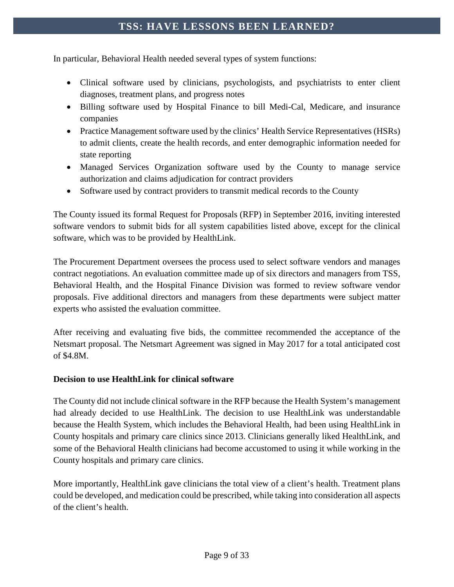In particular, Behavioral Health needed several types of system functions:

- Clinical software used by clinicians, psychologists, and psychiatrists to enter client diagnoses, treatment plans, and progress notes
- Billing software used by Hospital Finance to bill Medi-Cal, Medicare, and insurance companies
- Practice Management software used by the clinics' Health Service Representatives (HSRs) to admit clients, create the health records, and enter demographic information needed for state reporting
- Managed Services Organization software used by the County to manage service authorization and claims adjudication for contract providers
- Software used by contract providers to transmit medical records to the County

The County issued its formal Request for Proposals (RFP) in September 2016, inviting interested software vendors to submit bids for all system capabilities listed above, except for the clinical software, which was to be provided by HealthLink.

The Procurement Department oversees the process used to select software vendors and manages contract negotiations. An evaluation committee made up of six directors and managers from TSS, Behavioral Health, and the Hospital Finance Division was formed to review software vendor proposals. Five additional directors and managers from these departments were subject matter experts who assisted the evaluation committee.

After receiving and evaluating five bids, the committee recommended the acceptance of the Netsmart proposal. The Netsmart Agreement was signed in May 2017 for a total anticipated cost of \$4.8M.

#### **Decision to use HealthLink for clinical software**

The County did not include clinical software in the RFP because the Health System's management had already decided to use HealthLink. The decision to use HealthLink was understandable because the Health System, which includes the Behavioral Health, had been using HealthLink in County hospitals and primary care clinics since 2013. Clinicians generally liked HealthLink, and some of the Behavioral Health clinicians had become accustomed to using it while working in the County hospitals and primary care clinics.

More importantly, HealthLink gave clinicians the total view of a client's health. Treatment plans could be developed, and medication could be prescribed, while taking into consideration all aspects of the client's health.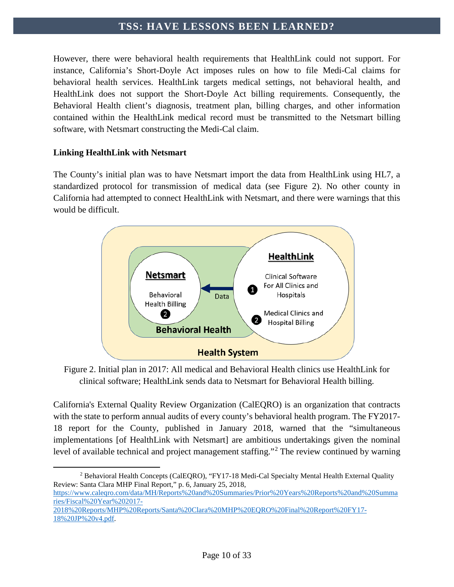However, there were behavioral health requirements that HealthLink could not support. For instance, California's Short-Doyle Act imposes rules on how to file Medi-Cal claims for behavioral health services. HealthLink targets medical settings, not behavioral health, and HealthLink does not support the Short-Doyle Act billing requirements. Consequently, the Behavioral Health client's diagnosis, treatment plan, billing charges, and other information contained within the HealthLink medical record must be transmitted to the Netsmart billing software, with Netsmart constructing the Medi-Cal claim.

#### **Linking HealthLink with Netsmart**

The County's initial plan was to have Netsmart import the data from HealthLink using HL7, a standardized protocol for transmission of medical data (see Figure 2). No other county in California had attempted to connect HealthLink with Netsmart, and there were warnings that this would be difficult.



Figure 2. Initial plan in 2017: All medical and Behavioral Health clinics use HealthLink for clinical software; HealthLink sends data to Netsmart for Behavioral Health billing.

California's External Quality Review Organization (CalEQRO) is an organization that contracts with the state to perform annual audits of every county's behavioral health program. The FY2017- 18 report for the County, published in January 2018, warned that the "simultaneous implementations [of HealthLink with Netsmart] are ambitious undertakings given the nominal level of available technical and project management staffing."[2](#page-10-0) The review continued by warning

<span id="page-10-0"></span> $\overline{a}$ <sup>2</sup> Behavioral Health Concepts (CalEQRO), "FY17-18 Medi-Cal Specialty Mental Health External Quality Review: Santa Clara MHP Final Report," p. 6, January 25, 2018,

[https://www.caleqro.com/data/MH/Reports%20and%20Summaries/Prior%20Years%20Reports%20and%20Summa](https://www.caleqro.com/data/MH/Reports%20and%20Summaries/Prior%20Years%20Reports%20and%20Summaries/Fiscal%20Year%202017-2018%20Reports/MHP%20Reports/Santa%20Clara%20MHP%20EQRO%20Final%20Report%20FY17-18%20JP%20v4.pdf) [ries/Fiscal%20Year%202017-](https://www.caleqro.com/data/MH/Reports%20and%20Summaries/Prior%20Years%20Reports%20and%20Summaries/Fiscal%20Year%202017-2018%20Reports/MHP%20Reports/Santa%20Clara%20MHP%20EQRO%20Final%20Report%20FY17-18%20JP%20v4.pdf)

[<sup>2018%20</sup>Reports/MHP%20Reports/Santa%20Clara%20MHP%20EQRO%20Final%20Report%20FY17-](https://www.caleqro.com/data/MH/Reports%20and%20Summaries/Prior%20Years%20Reports%20and%20Summaries/Fiscal%20Year%202017-2018%20Reports/MHP%20Reports/Santa%20Clara%20MHP%20EQRO%20Final%20Report%20FY17-18%20JP%20v4.pdf) [18%20JP%20v4.pdf.](https://www.caleqro.com/data/MH/Reports%20and%20Summaries/Prior%20Years%20Reports%20and%20Summaries/Fiscal%20Year%202017-2018%20Reports/MHP%20Reports/Santa%20Clara%20MHP%20EQRO%20Final%20Report%20FY17-18%20JP%20v4.pdf)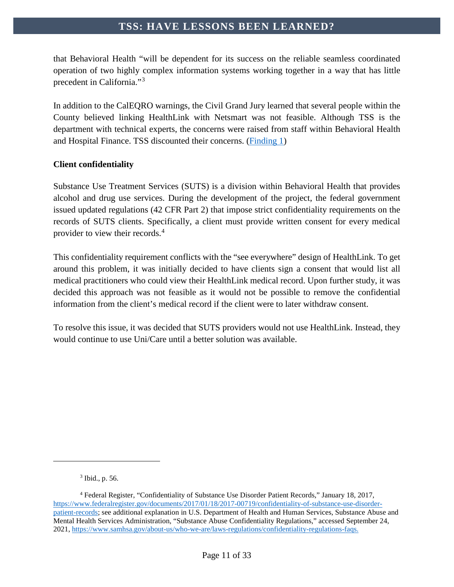that Behavioral Health "will be dependent for its success on the reliable seamless coordinated operation of two highly complex information systems working together in a way that has little precedent in California."[3](#page-11-0)

In addition to the CalEQRO warnings, the Civil Grand Jury learned that several people within the County believed linking HealthLink with Netsmart was not feasible. Although TSS is the department with technical experts, the concerns were raised from staff within Behavioral Health and Hospital Finance. TSS discounted their concerns. [\(Finding 1\)](#page-27-1)

#### **Client confidentiality**

Substance Use Treatment Services (SUTS) is a division within Behavioral Health that provides alcohol and drug use services. During the development of the project, the federal government issued updated regulations (42 CFR Part 2) that impose strict confidentiality requirements on the records of SUTS clients. Specifically, a client must provide written consent for every medical provider to view their records. [4](#page-11-1)

This confidentiality requirement conflicts with the "see everywhere" design of HealthLink. To get around this problem, it was initially decided to have clients sign a consent that would list all medical practitioners who could view their HealthLink medical record. Upon further study, it was decided this approach was not feasible as it would not be possible to remove the confidential information from the client's medical record if the client were to later withdraw consent.

To resolve this issue, it was decided that SUTS providers would not use HealthLink. Instead, they would continue to use Uni/Care until a better solution was available.

 $\overline{a}$ 

<sup>3</sup> Ibid., p. 56.

<span id="page-11-1"></span><span id="page-11-0"></span><sup>4</sup> Federal Register, "Confidentiality of Substance Use Disorder Patient Records," January 18, 2017, [https://www.federalregister.gov/documents/2017/01/18/2017-00719/confidentiality-of-substance-use-disorder](https://www.federalregister.gov/documents/2017/01/18/2017-00719/confidentiality-of-substance-use-disorder-patient-records)[patient-records;](https://www.federalregister.gov/documents/2017/01/18/2017-00719/confidentiality-of-substance-use-disorder-patient-records) see additional explanation in U.S. Department of Health and Human Services, Substance Abuse and Mental Health Services Administration, "Substance Abuse Confidentiality Regulations," accessed September 24, 2021, [https://www.samhsa.gov/about-us/who-we-are/laws-regulations/confidentiality-regulations-faqs.](https://www.samhsa.gov/about-us/who-we-are/laws-regulations/confidentiality-regulations-faqs)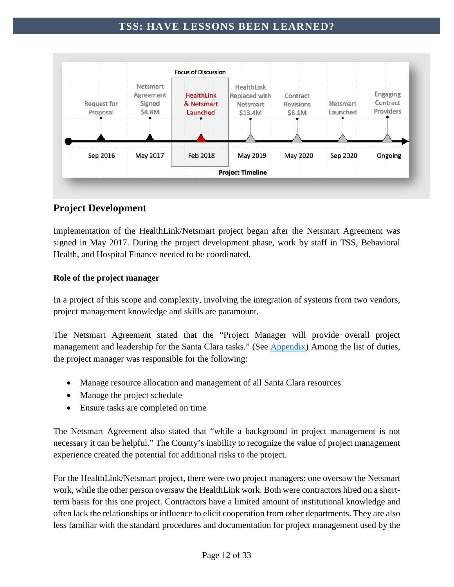

# <span id="page-12-0"></span>**Project Development**

Implementation of the HealthLink/Netsmart project began after the Netsmart Agreement was signed in May 2017. During the project development phase, work by staff in TSS, Behavioral Health, and Hospital Finance needed to be coordinated.

#### **Role of the project manager**

In a project of this scope and complexity, involving the integration of systems from two vendors, project management knowledge and skills are paramount.

The Netsmart Agreement stated that the "Project Manager will provide overall project management and leadership for the Santa Clara tasks." (See [Appendix\)](#page-32-0) Among the list of duties, the project manager was responsible for the following:

- Manage resource allocation and management of all Santa Clara resources
- Manage the project schedule
- Ensure tasks are completed on time

The Netsmart Agreement also stated that "while a background in project management is not necessary it can be helpful." The County's inability to recognize the value of project management experience created the potential for additional risks to the project.

For the HealthLink/Netsmart project, there were two project managers: one oversaw the Netsmart work, while the other person oversaw the HealthLink work. Both were contractors hired on a shortterm basis for this one project. Contractors have a limited amount of institutional knowledge and often lack the relationships or influence to elicit cooperation from other departments. They are also less familiar with the standard procedures and documentation for project management used by the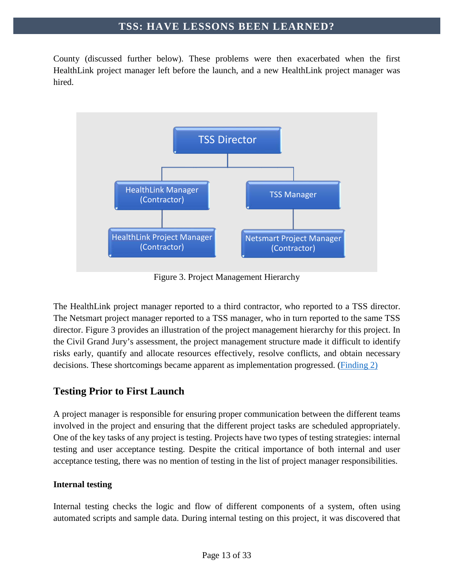County (discussed further below). These problems were then exacerbated when the first HealthLink project manager left before the launch, and a new HealthLink project manager was hired.



Figure 3. Project Management Hierarchy

The HealthLink project manager reported to a third contractor, who reported to a TSS director. The Netsmart project manager reported to a TSS manager, who in turn reported to the same TSS director. Figure 3 provides an illustration of the project management hierarchy for this project. In the Civil Grand Jury's assessment, the project management structure made it difficult to identify risks early, quantify and allocate resources effectively, resolve conflicts, and obtain necessary decisions. These shortcomings became apparent as implementation progressed. [\(Finding 2\)](#page-27-2)

### <span id="page-13-0"></span>**Testing Prior to First Launch**

A project manager is responsible for ensuring proper communication between the different teams involved in the project and ensuring that the different project tasks are scheduled appropriately. One of the key tasks of any project is testing. Projects have two types of testing strategies: internal testing and user acceptance testing. Despite the critical importance of both internal and user acceptance testing, there was no mention of testing in the list of project manager responsibilities.

#### **Internal testing**

Internal testing checks the logic and flow of different components of a system, often using automated scripts and sample data. During internal testing on this project, it was discovered that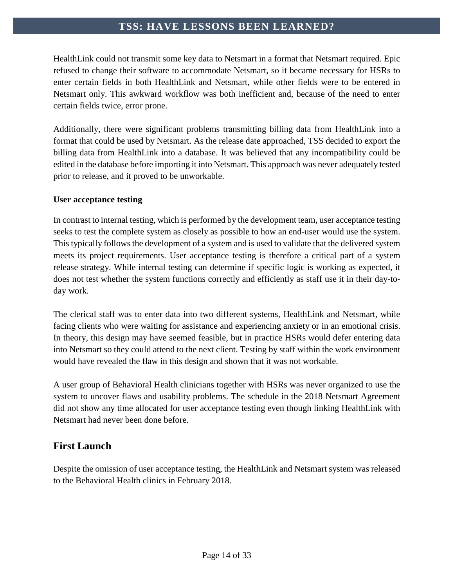HealthLink could not transmit some key data to Netsmart in a format that Netsmart required. Epic refused to change their software to accommodate Netsmart, so it became necessary for HSRs to enter certain fields in both HealthLink and Netsmart, while other fields were to be entered in Netsmart only. This awkward workflow was both inefficient and, because of the need to enter certain fields twice, error prone.

Additionally, there were significant problems transmitting billing data from HealthLink into a format that could be used by Netsmart. As the release date approached, TSS decided to export the billing data from HealthLink into a database. It was believed that any incompatibility could be edited in the database before importing it into Netsmart. This approach was never adequately tested prior to release, and it proved to be unworkable.

#### **User acceptance testing**

In contrast to internal testing, which is performed by the development team, user acceptance testing seeks to test the complete system as closely as possible to how an end-user would use the system. This typically follows the development of a system and is used to validate that the delivered system meets its project requirements. User acceptance testing is therefore a critical part of a system release strategy. While internal testing can determine if specific logic is working as expected, it does not test whether the system functions correctly and efficiently as staff use it in their day-today work.

The clerical staff was to enter data into two different systems, HealthLink and Netsmart, while facing clients who were waiting for assistance and experiencing anxiety or in an emotional crisis. In theory, this design may have seemed feasible, but in practice HSRs would defer entering data into Netsmart so they could attend to the next client. Testing by staff within the work environment would have revealed the flaw in this design and shown that it was not workable.

A user group of Behavioral Health clinicians together with HSRs was never organized to use the system to uncover flaws and usability problems. The schedule in the 2018 Netsmart Agreement did not show any time allocated for user acceptance testing even though linking HealthLink with Netsmart had never been done before.

# <span id="page-14-0"></span>**First Launch**

Despite the omission of user acceptance testing, the HealthLink and Netsmart system was released to the Behavioral Health clinics in February 2018.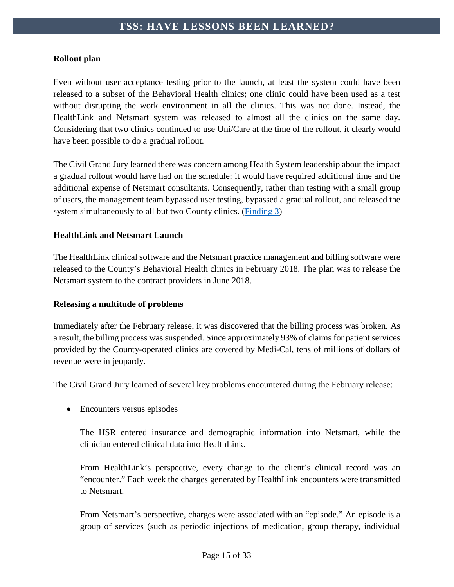#### **Rollout plan**

Even without user acceptance testing prior to the launch, at least the system could have been released to a subset of the Behavioral Health clinics; one clinic could have been used as a test without disrupting the work environment in all the clinics. This was not done. Instead, the HealthLink and Netsmart system was released to almost all the clinics on the same day. Considering that two clinics continued to use Uni/Care at the time of the rollout, it clearly would have been possible to do a gradual rollout.

The Civil Grand Jury learned there was concern among Health System leadership about the impact a gradual rollout would have had on the schedule: it would have required additional time and the additional expense of Netsmart consultants. Consequently, rather than testing with a small group of users, the management team bypassed user testing, bypassed a gradual rollout, and released the system simultaneously to all but two County clinics. [\(Finding 3\)](#page-28-0)

#### **HealthLink and Netsmart Launch**

The HealthLink clinical software and the Netsmart practice management and billing software were released to the County's Behavioral Health clinics in February 2018. The plan was to release the Netsmart system to the contract providers in June 2018.

#### **Releasing a multitude of problems**

Immediately after the February release, it was discovered that the billing process was broken. As a result, the billing process was suspended. Since approximately 93% of claims for patient services provided by the County-operated clinics are covered by Medi-Cal, tens of millions of dollars of revenue were in jeopardy.

The Civil Grand Jury learned of several key problems encountered during the February release:

#### • Encounters versus episodes

The HSR entered insurance and demographic information into Netsmart, while the clinician entered clinical data into HealthLink.

From HealthLink's perspective, every change to the client's clinical record was an "encounter." Each week the charges generated by HealthLink encounters were transmitted to Netsmart.

From Netsmart's perspective, charges were associated with an "episode." An episode is a group of services (such as periodic injections of medication, group therapy, individual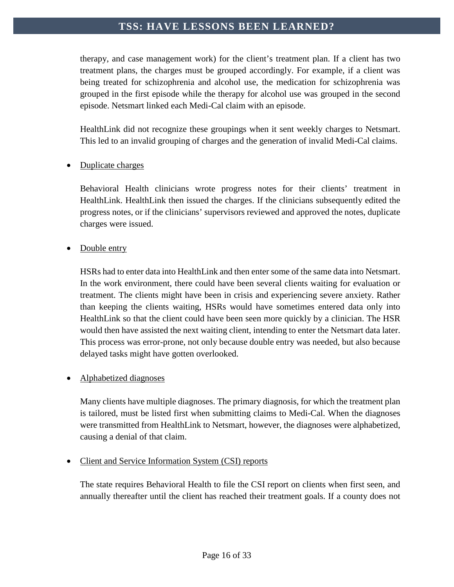therapy, and case management work) for the client's treatment plan. If a client has two treatment plans, the charges must be grouped accordingly. For example, if a client was being treated for schizophrenia and alcohol use, the medication for schizophrenia was grouped in the first episode while the therapy for alcohol use was grouped in the second episode. Netsmart linked each Medi-Cal claim with an episode.

HealthLink did not recognize these groupings when it sent weekly charges to Netsmart. This led to an invalid grouping of charges and the generation of invalid Medi-Cal claims.

#### • Duplicate charges

Behavioral Health clinicians wrote progress notes for their clients' treatment in HealthLink. HealthLink then issued the charges. If the clinicians subsequently edited the progress notes, or if the clinicians' supervisors reviewed and approved the notes, duplicate charges were issued.

#### Double entry

HSRs had to enter data into HealthLink and then enter some of the same data into Netsmart. In the work environment, there could have been several clients waiting for evaluation or treatment. The clients might have been in crisis and experiencing severe anxiety. Rather than keeping the clients waiting, HSRs would have sometimes entered data only into HealthLink so that the client could have been seen more quickly by a clinician. The HSR would then have assisted the next waiting client, intending to enter the Netsmart data later. This process was error-prone, not only because double entry was needed, but also because delayed tasks might have gotten overlooked.

#### • Alphabetized diagnoses

Many clients have multiple diagnoses. The primary diagnosis, for which the treatment plan is tailored, must be listed first when submitting claims to Medi-Cal. When the diagnoses were transmitted from HealthLink to Netsmart, however, the diagnoses were alphabetized, causing a denial of that claim.

#### • Client and Service Information System (CSI) reports

The state requires Behavioral Health to file the CSI report on clients when first seen, and annually thereafter until the client has reached their treatment goals. If a county does not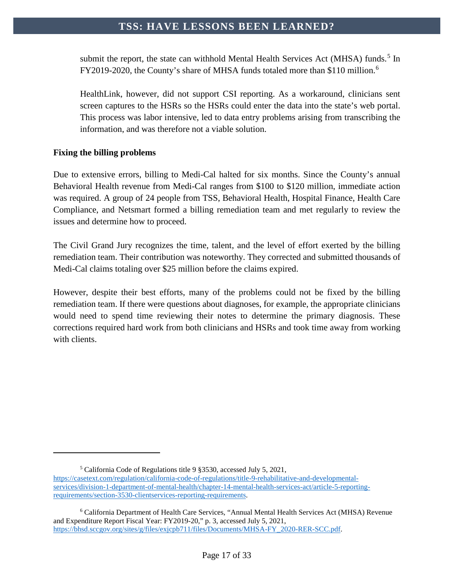submit the report, the state can withhold Mental Health Services Act (MHSA) funds.<sup>[5](#page-17-0)</sup> In FY2019-2020, the County's share of MHSA funds totaled more than \$110 million.<sup>[6](#page-17-1)</sup>

HealthLink, however, did not support CSI reporting. As a workaround, clinicians sent screen captures to the HSRs so the HSRs could enter the data into the state's web portal. This process was labor intensive, led to data entry problems arising from transcribing the information, and was therefore not a viable solution.

#### **Fixing the billing problems**

 $\overline{a}$ 

Due to extensive errors, billing to Medi-Cal halted for six months. Since the County's annual Behavioral Health revenue from Medi-Cal ranges from \$100 to \$120 million, immediate action was required. A group of 24 people from TSS, Behavioral Health, Hospital Finance, Health Care Compliance, and Netsmart formed a billing remediation team and met regularly to review the issues and determine how to proceed.

The Civil Grand Jury recognizes the time, talent, and the level of effort exerted by the billing remediation team. Their contribution was noteworthy. They corrected and submitted thousands of Medi-Cal claims totaling over \$25 million before the claims expired.

However, despite their best efforts, many of the problems could not be fixed by the billing remediation team. If there were questions about diagnoses, for example, the appropriate clinicians would need to spend time reviewing their notes to determine the primary diagnosis. These corrections required hard work from both clinicians and HSRs and took time away from working with clients.

<sup>5</sup> California Code of Regulations title 9 §3530, accessed July 5, 2021,

<span id="page-17-0"></span>[https://casetext.com/regulation/california-code-of-regulations/title-9-rehabilitative-and-developmental](https://casetext.com/regulation/california-code-of-regulations/title-9-rehabilitative-and-developmental-services/division-1-department-of-mental-health/chapter-14-mental-health-services-act/article-5-reporting-requirements/section-3530-clientservices-reporting-requirements)[services/division-1-department-of-mental-health/chapter-14-mental-health-services-act/article-5-reporting](https://casetext.com/regulation/california-code-of-regulations/title-9-rehabilitative-and-developmental-services/division-1-department-of-mental-health/chapter-14-mental-health-services-act/article-5-reporting-requirements/section-3530-clientservices-reporting-requirements)[requirements/section-3530-clientservices-reporting-requirements.](https://casetext.com/regulation/california-code-of-regulations/title-9-rehabilitative-and-developmental-services/division-1-department-of-mental-health/chapter-14-mental-health-services-act/article-5-reporting-requirements/section-3530-clientservices-reporting-requirements)

<span id="page-17-1"></span><sup>6</sup> California Department of Health Care Services, "Annual Mental Health Services Act (MHSA) Revenue and Expenditure Report Fiscal Year: FY2019-20," p. 3, accessed July 5, 2021, [https://bhsd.sccgov.org/sites/g/files/exjcpb711/files/Documents/MHSA-FY\\_2020-RER-SCC.pdf.](https://bhsd.sccgov.org/sites/g/files/exjcpb711/files/Documents/MHSA-FY_2020-RER-SCC.pdf)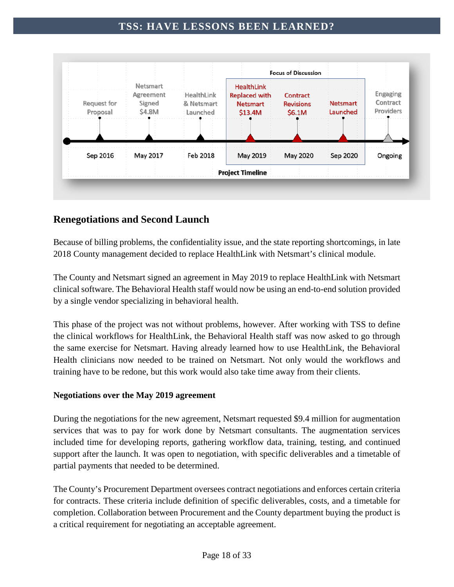

# <span id="page-18-0"></span>**Renegotiations and Second Launch**

Because of billing problems, the confidentiality issue, and the state reporting shortcomings, in late 2018 County management decided to replace HealthLink with Netsmart's clinical module.

The County and Netsmart signed an agreement in May 2019 to replace HealthLink with Netsmart clinical software. The Behavioral Health staff would now be using an end-to-end solution provided by a single vendor specializing in behavioral health.

This phase of the project was not without problems, however. After working with TSS to define the clinical workflows for HealthLink, the Behavioral Health staff was now asked to go through the same exercise for Netsmart. Having already learned how to use HealthLink, the Behavioral Health clinicians now needed to be trained on Netsmart. Not only would the workflows and training have to be redone, but this work would also take time away from their clients.

#### **Negotiations over the May 2019 agreement**

During the negotiations for the new agreement, Netsmart requested \$9.4 million for augmentation services that was to pay for work done by Netsmart consultants. The augmentation services included time for developing reports, gathering workflow data, training, testing, and continued support after the launch. It was open to negotiation, with specific deliverables and a timetable of partial payments that needed to be determined.

The County's Procurement Department oversees contract negotiations and enforces certain criteria for contracts. These criteria include definition of specific deliverables, costs, and a timetable for completion. Collaboration between Procurement and the County department buying the product is a critical requirement for negotiating an acceptable agreement.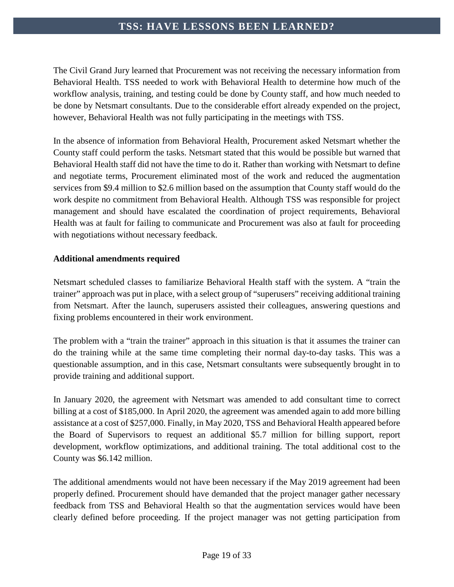The Civil Grand Jury learned that Procurement was not receiving the necessary information from Behavioral Health. TSS needed to work with Behavioral Health to determine how much of the workflow analysis, training, and testing could be done by County staff, and how much needed to be done by Netsmart consultants. Due to the considerable effort already expended on the project, however, Behavioral Health was not fully participating in the meetings with TSS.

In the absence of information from Behavioral Health, Procurement asked Netsmart whether the County staff could perform the tasks. Netsmart stated that this would be possible but warned that Behavioral Health staff did not have the time to do it. Rather than working with Netsmart to define and negotiate terms, Procurement eliminated most of the work and reduced the augmentation services from \$9.4 million to \$2.6 million based on the assumption that County staff would do the work despite no commitment from Behavioral Health. Although TSS was responsible for project management and should have escalated the coordination of project requirements, Behavioral Health was at fault for failing to communicate and Procurement was also at fault for proceeding with negotiations without necessary feedback.

#### **Additional amendments required**

Netsmart scheduled classes to familiarize Behavioral Health staff with the system. A "train the trainer" approach was put in place, with a select group of "superusers" receiving additional training from Netsmart. After the launch, superusers assisted their colleagues, answering questions and fixing problems encountered in their work environment.

The problem with a "train the trainer" approach in this situation is that it assumes the trainer can do the training while at the same time completing their normal day-to-day tasks. This was a questionable assumption, and in this case, Netsmart consultants were subsequently brought in to provide training and additional support.

In January 2020, the agreement with Netsmart was amended to add consultant time to correct billing at a cost of \$185,000. In April 2020, the agreement was amended again to add more billing assistance at a cost of \$257,000. Finally, in May 2020, TSS and Behavioral Health appeared before the Board of Supervisors to request an additional \$5.7 million for billing support, report development, workflow optimizations, and additional training. The total additional cost to the County was \$6.142 million.

The additional amendments would not have been necessary if the May 2019 agreement had been properly defined. Procurement should have demanded that the project manager gather necessary feedback from TSS and Behavioral Health so that the augmentation services would have been clearly defined before proceeding. If the project manager was not getting participation from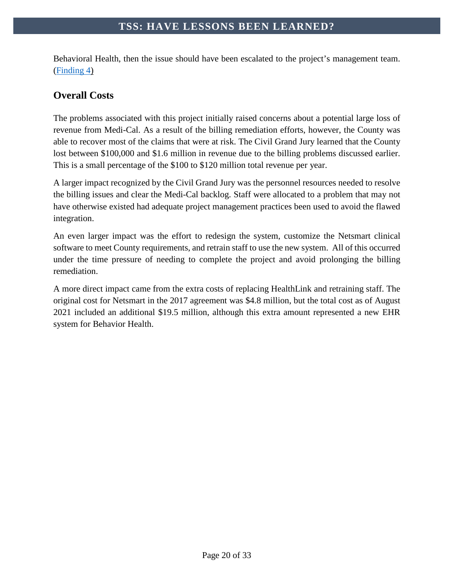Behavioral Health, then the issue should have been escalated to the project's management team. [\(Finding 4\)](#page-29-0)

# <span id="page-20-0"></span>**Overall Costs**

The problems associated with this project initially raised concerns about a potential large loss of revenue from Medi-Cal. As a result of the billing remediation efforts, however, the County was able to recover most of the claims that were at risk. The Civil Grand Jury learned that the County lost between \$100,000 and \$1.6 million in revenue due to the billing problems discussed earlier. This is a small percentage of the \$100 to \$120 million total revenue per year.

A larger impact recognized by the Civil Grand Jury was the personnel resources needed to resolve the billing issues and clear the Medi-Cal backlog. Staff were allocated to a problem that may not have otherwise existed had adequate project management practices been used to avoid the flawed integration.

An even larger impact was the effort to redesign the system, customize the Netsmart clinical software to meet County requirements, and retrain staff to use the new system. All of this occurred under the time pressure of needing to complete the project and avoid prolonging the billing remediation.

A more direct impact came from the extra costs of replacing HealthLink and retraining staff. The original cost for Netsmart in the 2017 agreement was \$4.8 million, but the total cost as of August 2021 included an additional \$19.5 million, although this extra amount represented a new EHR system for Behavior Health.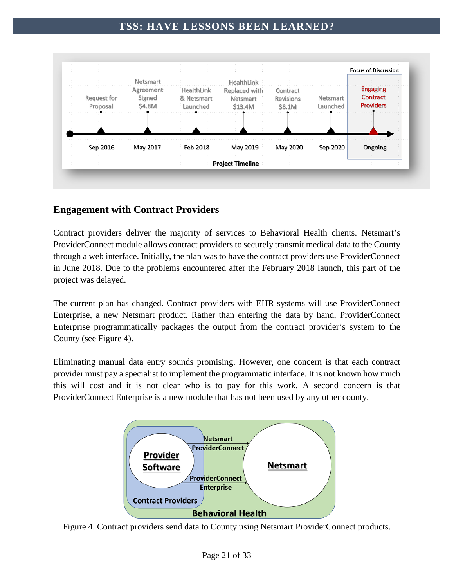

# <span id="page-21-0"></span>**Engagement with Contract Providers**

Contract providers deliver the majority of services to Behavioral Health clients. Netsmart's ProviderConnect module allows contract providers to securely transmit medical data to the County through a web interface. Initially, the plan was to have the contract providers use ProviderConnect in June 2018. Due to the problems encountered after the February 2018 launch, this part of the project was delayed.

The current plan has changed. Contract providers with EHR systems will use ProviderConnect Enterprise, a new Netsmart product. Rather than entering the data by hand, ProviderConnect Enterprise programmatically packages the output from the contract provider's system to the County (see Figure 4).

Eliminating manual data entry sounds promising. However, one concern is that each contract provider must pay a specialist to implement the programmatic interface. It is not known how much this will cost and it is not clear who is to pay for this work. A second concern is that ProviderConnect Enterprise is a new module that has not been used by any other county.



Figure 4. Contract providers send data to County using Netsmart ProviderConnect products.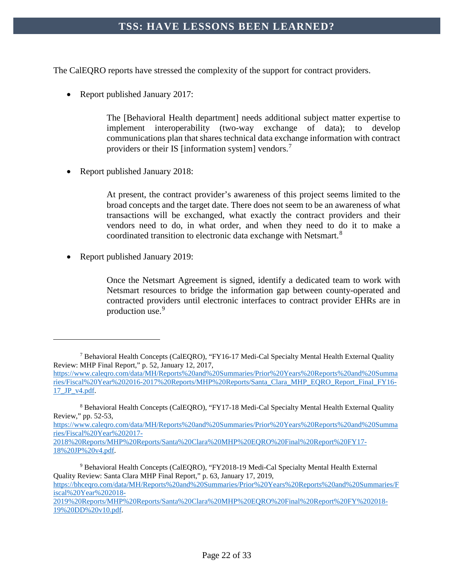The CalEQRO reports have stressed the complexity of the support for contract providers.

• Report published January 2017:

The [Behavioral Health department] needs additional subject matter expertise to implement interoperability (two-way exchange of data); to develop communications plan that shares technical data exchange information with contract providers or their IS [information system] vendors.<sup>[7](#page-22-0)</sup>

• Report published January 2018:

At present, the contract provider's awareness of this project seems limited to the broad concepts and the target date. There does not seem to be an awareness of what transactions will be exchanged, what exactly the contract providers and their vendors need to do, in what order, and when they need to do it to make a coordinated transition to electronic data exchange with Netsmart.[8](#page-22-1)

• Report published January 2019:

 $\overline{a}$ 

Once the Netsmart Agreement is signed, identify a dedicated team to work with Netsmart resources to bridge the information gap between county-operated and contracted providers until electronic interfaces to contract provider EHRs are in production use.[9](#page-22-2)

[https://www.caleqro.com/data/MH/Reports%20and%20Summaries/Prior%20Years%20Reports%20and%20Summa](https://www.caleqro.com/data/MH/Reports%20and%20Summaries/Prior%20Years%20Reports%20and%20Summaries/Fiscal%20Year%202017-2018%20Reports/MHP%20Reports/Santa%20Clara%20MHP%20EQRO%20Final%20Report%20FY17-18%20JP%20v4.pdf) [ries/Fiscal%20Year%202017-](https://www.caleqro.com/data/MH/Reports%20and%20Summaries/Prior%20Years%20Reports%20and%20Summaries/Fiscal%20Year%202017-2018%20Reports/MHP%20Reports/Santa%20Clara%20MHP%20EQRO%20Final%20Report%20FY17-18%20JP%20v4.pdf)

<span id="page-22-0"></span><sup>&</sup>lt;sup>7</sup> Behavioral Health Concepts (CalEQRO), "FY16-17 Medi-Cal Specialty Mental Health External Quality Review: MHP Final Report," p. 52, January 12, 2017,

[https://www.caleqro.com/data/MH/Reports%20and%20Summaries/Prior%20Years%20Reports%20and%20Summa](https://www.caleqro.com/data/MH/Reports%20and%20Summaries/Prior%20Years%20Reports%20and%20Summaries/Fiscal%20Year%202016-2017%20Reports/MHP%20Reports/Santa_Clara_MHP_EQRO_Report_Final_FY16-17_JP_v4.pdf) [ries/Fiscal%20Year%202016-2017%20Reports/MHP%20Reports/Santa\\_Clara\\_MHP\\_EQRO\\_Report\\_Final\\_FY16-](https://www.caleqro.com/data/MH/Reports%20and%20Summaries/Prior%20Years%20Reports%20and%20Summaries/Fiscal%20Year%202016-2017%20Reports/MHP%20Reports/Santa_Clara_MHP_EQRO_Report_Final_FY16-17_JP_v4.pdf) [17\\_JP\\_v4.pdf.](https://www.caleqro.com/data/MH/Reports%20and%20Summaries/Prior%20Years%20Reports%20and%20Summaries/Fiscal%20Year%202016-2017%20Reports/MHP%20Reports/Santa_Clara_MHP_EQRO_Report_Final_FY16-17_JP_v4.pdf)

<span id="page-22-1"></span><sup>8</sup> Behavioral Health Concepts (CalEQRO), "FY17-18 Medi-Cal Specialty Mental Health External Quality Review," pp. 52-53,

[<sup>2018%20</sup>Reports/MHP%20Reports/Santa%20Clara%20MHP%20EQRO%20Final%20Report%20FY17-](https://www.caleqro.com/data/MH/Reports%20and%20Summaries/Prior%20Years%20Reports%20and%20Summaries/Fiscal%20Year%202017-2018%20Reports/MHP%20Reports/Santa%20Clara%20MHP%20EQRO%20Final%20Report%20FY17-18%20JP%20v4.pdf) [18%20JP%20v4.pdf.](https://www.caleqro.com/data/MH/Reports%20and%20Summaries/Prior%20Years%20Reports%20and%20Summaries/Fiscal%20Year%202017-2018%20Reports/MHP%20Reports/Santa%20Clara%20MHP%20EQRO%20Final%20Report%20FY17-18%20JP%20v4.pdf)

<span id="page-22-2"></span><sup>9</sup> Behavioral Health Concepts (CalEQRO), "FY2018-19 Medi-Cal Specialty Mental Health External Quality Review: Santa Clara MHP Final Report," p. 63, January 17, 2019,

[https://bhceqro.com/data/MH/Reports%20and%20Summaries/Prior%20Years%20Reports%20and%20Summaries/F](https://bhceqro.com/data/MH/Reports%20and%20Summaries/Prior%20Years%20Reports%20and%20Summaries/Fiscal%20Year%202018-2019%20Reports/MHP%20Reports/Santa%20Clara%20MHP%20EQRO%20Final%20Report%20FY%202018-19%20DD%20v10.pdf) [iscal%20Year%202018-](https://bhceqro.com/data/MH/Reports%20and%20Summaries/Prior%20Years%20Reports%20and%20Summaries/Fiscal%20Year%202018-2019%20Reports/MHP%20Reports/Santa%20Clara%20MHP%20EQRO%20Final%20Report%20FY%202018-19%20DD%20v10.pdf)

[<sup>2019%20</sup>Reports/MHP%20Reports/Santa%20Clara%20MHP%20EQRO%20Final%20Report%20FY%202018-](https://bhceqro.com/data/MH/Reports%20and%20Summaries/Prior%20Years%20Reports%20and%20Summaries/Fiscal%20Year%202018-2019%20Reports/MHP%20Reports/Santa%20Clara%20MHP%20EQRO%20Final%20Report%20FY%202018-19%20DD%20v10.pdf) [19%20DD%20v10.pdf.](https://bhceqro.com/data/MH/Reports%20and%20Summaries/Prior%20Years%20Reports%20and%20Summaries/Fiscal%20Year%202018-2019%20Reports/MHP%20Reports/Santa%20Clara%20MHP%20EQRO%20Final%20Report%20FY%202018-19%20DD%20v10.pdf)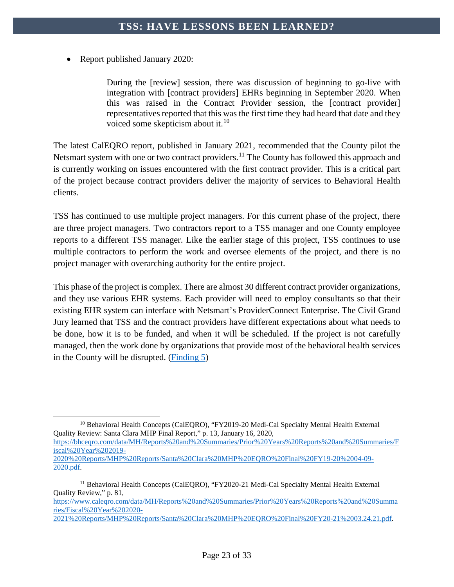• Report published January 2020:

During the [review] session, there was discussion of beginning to go-live with integration with [contract providers] EHRs beginning in September 2020. When this was raised in the Contract Provider session, the [contract provider] representatives reported that this was the first time they had heard that date and they voiced some skepticism about it.<sup>[10](#page-23-0)</sup>

The latest CalEQRO report, published in January 2021, recommended that the County pilot the Netsmart system with one or two contract providers.<sup>[11](#page-23-1)</sup> The County has followed this approach and is currently working on issues encountered with the first contract provider. This is a critical part of the project because contract providers deliver the majority of services to Behavioral Health clients.

TSS has continued to use multiple project managers. For this current phase of the project, there are three project managers. Two contractors report to a TSS manager and one County employee reports to a different TSS manager. Like the earlier stage of this project, TSS continues to use multiple contractors to perform the work and oversee elements of the project, and there is no project manager with overarching authority for the entire project.

This phase of the project is complex. There are almost 30 different contract provider organizations, and they use various EHR systems. Each provider will need to employ consultants so that their existing EHR system can interface with Netsmart's ProviderConnect Enterprise. The Civil Grand Jury learned that TSS and the contract providers have different expectations about what needs to be done, how it is to be funded, and when it will be scheduled. If the project is not carefully managed, then the work done by organizations that provide most of the behavioral health services in the County will be disrupted. [\(Finding 5\)](#page-29-1)

<span id="page-23-0"></span> $\overline{a}$ <sup>10</sup> Behavioral Health Concepts (CalEORO), "FY2019-20 Medi-Cal Specialty Mental Health External Quality Review: Santa Clara MHP Final Report," p. 13, January 16, 2020,

[https://bhceqro.com/data/MH/Reports%20and%20Summaries/Prior%20Years%20Reports%20and%20Summaries/F](https://bhceqro.com/data/MH/Reports%20and%20Summaries/Prior%20Years%20Reports%20and%20Summaries/Fiscal%20Year%202019-2020%20Reports/MHP%20Reports/Santa%20Clara%20MHP%20EQRO%20Final%20FY19-20%2004-09-2020.pdf) [iscal%20Year%202019-](https://bhceqro.com/data/MH/Reports%20and%20Summaries/Prior%20Years%20Reports%20and%20Summaries/Fiscal%20Year%202019-2020%20Reports/MHP%20Reports/Santa%20Clara%20MHP%20EQRO%20Final%20FY19-20%2004-09-2020.pdf)

[2020%20Reports/MHP%20Reports/Santa%20Clara%20MHP%20EQRO%20Final%20FY19-20%2004-09-](https://bhceqro.com/data/MH/Reports%20and%20Summaries/Prior%20Years%20Reports%20and%20Summaries/Fiscal%20Year%202019-2020%20Reports/MHP%20Reports/Santa%20Clara%20MHP%20EQRO%20Final%20FY19-20%2004-09-2020.pdf) [2020.pdf.](https://bhceqro.com/data/MH/Reports%20and%20Summaries/Prior%20Years%20Reports%20and%20Summaries/Fiscal%20Year%202019-2020%20Reports/MHP%20Reports/Santa%20Clara%20MHP%20EQRO%20Final%20FY19-20%2004-09-2020.pdf)

[https://www.caleqro.com/data/MH/Reports%20and%20Summaries/Prior%20Years%20Reports%20and%20Summa](https://www.caleqro.com/data/MH/Reports%20and%20Summaries/Prior%20Years%20Reports%20and%20Summaries/Fiscal%20Year%202020-2021%20Reports/MHP%20Reports/Santa%20Clara%20MHP%20EQRO%20Final%20FY20-21%2003.24.21.pdf) [ries/Fiscal%20Year%202020-](https://www.caleqro.com/data/MH/Reports%20and%20Summaries/Prior%20Years%20Reports%20and%20Summaries/Fiscal%20Year%202020-2021%20Reports/MHP%20Reports/Santa%20Clara%20MHP%20EQRO%20Final%20FY20-21%2003.24.21.pdf)

<span id="page-23-1"></span><sup>&</sup>lt;sup>11</sup> Behavioral Health Concepts (CalEQRO), "FY2020-21 Medi-Cal Specialty Mental Health External Quality Review," p. 81,

[<sup>2021%20</sup>Reports/MHP%20Reports/Santa%20Clara%20MHP%20EQRO%20Final%20FY20-21%2003.24.21.pdf.](https://www.caleqro.com/data/MH/Reports%20and%20Summaries/Prior%20Years%20Reports%20and%20Summaries/Fiscal%20Year%202020-2021%20Reports/MHP%20Reports/Santa%20Clara%20MHP%20EQRO%20Final%20FY20-21%2003.24.21.pdf)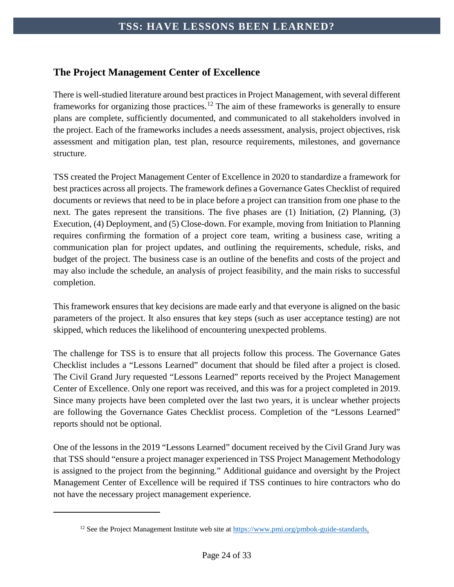# <span id="page-24-0"></span>**The Project Management Center of Excellence**

There is well-studied literature around best practices in Project Management, with several different frameworks for organizing those practices.<sup>[12](#page-24-1)</sup> The aim of these frameworks is generally to ensure plans are complete, sufficiently documented, and communicated to all stakeholders involved in the project. Each of the frameworks includes a needs assessment, analysis, project objectives, risk assessment and mitigation plan, test plan, resource requirements, milestones, and governance structure.

TSS created the Project Management Center of Excellence in 2020 to standardize a framework for best practices across all projects. The framework defines a Governance Gates Checklist of required documents or reviews that need to be in place before a project can transition from one phase to the next. The gates represent the transitions. The five phases are (1) Initiation, (2) Planning, (3) Execution, (4) Deployment, and (5) Close-down. For example, moving from Initiation to Planning requires confirming the formation of a project core team, writing a business case, writing a communication plan for project updates, and outlining the requirements, schedule, risks, and budget of the project. The business case is an outline of the benefits and costs of the project and may also include the schedule, an analysis of project feasibility, and the main risks to successful completion.

This framework ensures that key decisions are made early and that everyone is aligned on the basic parameters of the project. It also ensures that key steps (such as user acceptance testing) are not skipped, which reduces the likelihood of encountering unexpected problems.

The challenge for TSS is to ensure that all projects follow this process. The Governance Gates Checklist includes a "Lessons Learned" document that should be filed after a project is closed. The Civil Grand Jury requested "Lessons Learned" reports received by the Project Management Center of Excellence. Only one report was received, and this was for a project completed in 2019. Since many projects have been completed over the last two years, it is unclear whether projects are following the Governance Gates Checklist process. Completion of the "Lessons Learned" reports should not be optional.

One of the lessons in the 2019 "Lessons Learned" document received by the Civil Grand Jury was that TSS should "ensure a project manager experienced in TSS Project Management Methodology is assigned to the project from the beginning." Additional guidance and oversight by the Project Management Center of Excellence will be required if TSS continues to hire contractors who do not have the necessary project management experience.

<span id="page-24-1"></span> $\overline{a}$ 

<sup>&</sup>lt;sup>12</sup> See the Project Management Institute web site at [https://www.pmi.org/pmbok-guide-standards.](https://www.pmi.org/pmbok-guide-standards)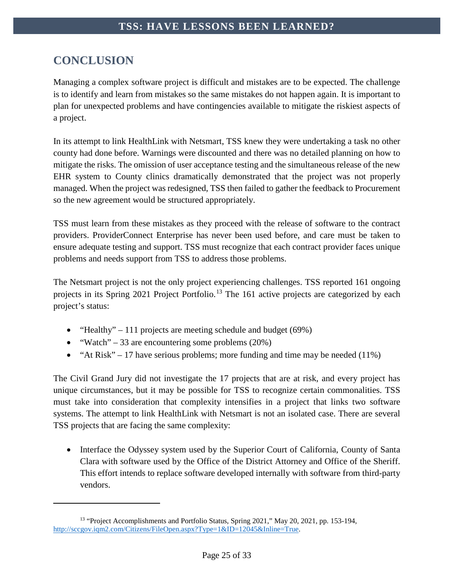# <span id="page-25-0"></span>**CONCLUSION**

 $\overline{a}$ 

Managing a complex software project is difficult and mistakes are to be expected. The challenge is to identify and learn from mistakes so the same mistakes do not happen again. It is important to plan for unexpected problems and have contingencies available to mitigate the riskiest aspects of a project.

In its attempt to link HealthLink with Netsmart, TSS knew they were undertaking a task no other county had done before. Warnings were discounted and there was no detailed planning on how to mitigate the risks. The omission of user acceptance testing and the simultaneous release of the new EHR system to County clinics dramatically demonstrated that the project was not properly managed. When the project was redesigned, TSS then failed to gather the feedback to Procurement so the new agreement would be structured appropriately.

TSS must learn from these mistakes as they proceed with the release of software to the contract providers. ProviderConnect Enterprise has never been used before, and care must be taken to ensure adequate testing and support. TSS must recognize that each contract provider faces unique problems and needs support from TSS to address those problems.

The Netsmart project is not the only project experiencing challenges. TSS reported 161 ongoing projects in its Spring 2021 Project Portfolio.<sup>[13](#page-25-1)</sup> The 161 active projects are categorized by each project's status:

- "Healthy" 111 projects are meeting schedule and budget  $(69\%)$
- "Watch" 33 are encountering some problems  $(20\%)$
- "At Risk" 17 have serious problems; more funding and time may be needed  $(11\%)$

The Civil Grand Jury did not investigate the 17 projects that are at risk, and every project has unique circumstances, but it may be possible for TSS to recognize certain commonalities. TSS must take into consideration that complexity intensifies in a project that links two software systems. The attempt to link HealthLink with Netsmart is not an isolated case. There are several TSS projects that are facing the same complexity:

• Interface the Odyssey system used by the Superior Court of California, County of Santa Clara with software used by the Office of the District Attorney and Office of the Sheriff. This effort intends to replace software developed internally with software from third-party vendors.

<span id="page-25-1"></span><sup>&</sup>lt;sup>13</sup> "Project Accomplishments and Portfolio Status, Spring 2021," May 20, 2021, pp. 153-194, [http://sccgov.iqm2.com/Citizens/FileOpen.aspx?Type=1&ID=12045&Inline=True.](http://sccgov.iqm2.com/Citizens/FileOpen.aspx?Type=1&ID=12045&Inline=True)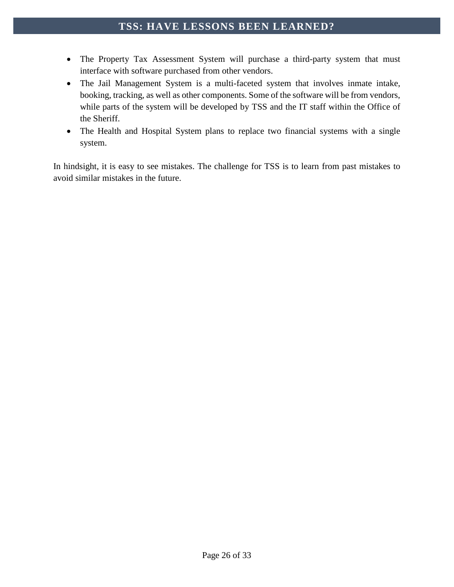- The Property Tax Assessment System will purchase a third-party system that must interface with software purchased from other vendors.
- The Jail Management System is a multi-faceted system that involves inmate intake, booking, tracking, as well as other components. Some of the software will be from vendors, while parts of the system will be developed by TSS and the IT staff within the Office of the Sheriff.
- The Health and Hospital System plans to replace two financial systems with a single system.

In hindsight, it is easy to see mistakes. The challenge for TSS is to learn from past mistakes to avoid similar mistakes in the future.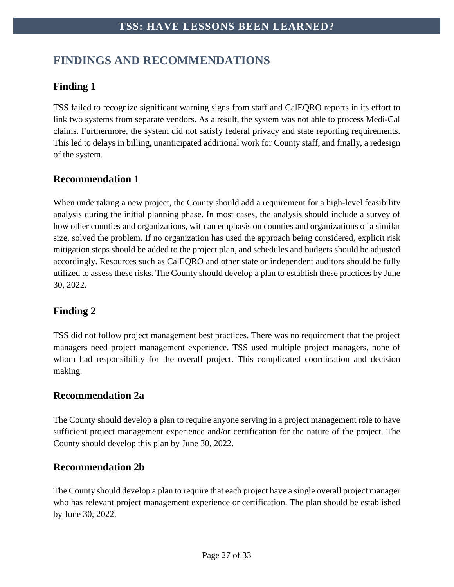# <span id="page-27-0"></span>**FINDINGS AND RECOMMENDATIONS**

# <span id="page-27-1"></span>**Finding 1**

TSS failed to recognize significant warning signs from staff and CalEQRO reports in its effort to link two systems from separate vendors. As a result, the system was not able to process Medi-Cal claims. Furthermore, the system did not satisfy federal privacy and state reporting requirements. This led to delays in billing, unanticipated additional work for County staff, and finally, a redesign of the system.

# **Recommendation 1**

When undertaking a new project, the County should add a requirement for a high-level feasibility analysis during the initial planning phase. In most cases, the analysis should include a survey of how other counties and organizations, with an emphasis on counties and organizations of a similar size, solved the problem. If no organization has used the approach being considered, explicit risk mitigation steps should be added to the project plan, and schedules and budgets should be adjusted accordingly. Resources such as CalEQRO and other state or independent auditors should be fully utilized to assess these risks. The County should develop a plan to establish these practices by June 30, 2022.

# <span id="page-27-2"></span>**Finding 2**

TSS did not follow project management best practices. There was no requirement that the project managers need project management experience. TSS used multiple project managers, none of whom had responsibility for the overall project. This complicated coordination and decision making.

# **Recommendation 2a**

The County should develop a plan to require anyone serving in a project management role to have sufficient project management experience and/or certification for the nature of the project. The County should develop this plan by June 30, 2022.

### **Recommendation 2b**

The County should develop a plan to require that each project have a single overall project manager who has relevant project management experience or certification. The plan should be established by June 30, 2022.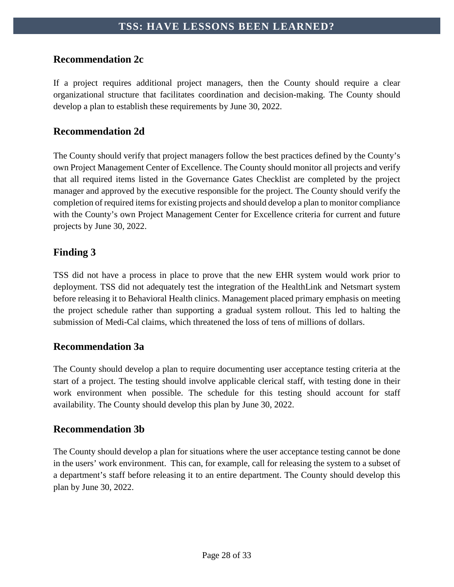# **Recommendation 2c**

If a project requires additional project managers, then the County should require a clear organizational structure that facilitates coordination and decision-making. The County should develop a plan to establish these requirements by June 30, 2022.

### **Recommendation 2d**

The County should verify that project managers follow the best practices defined by the County's own Project Management Center of Excellence. The County should monitor all projects and verify that all required items listed in the Governance Gates Checklist are completed by the project manager and approved by the executive responsible for the project. The County should verify the completion of required itemsfor existing projects and should develop a plan to monitor compliance with the County's own Project Management Center for Excellence criteria for current and future projects by June 30, 2022.

# <span id="page-28-0"></span>**Finding 3**

TSS did not have a process in place to prove that the new EHR system would work prior to deployment. TSS did not adequately test the integration of the HealthLink and Netsmart system before releasing it to Behavioral Health clinics. Management placed primary emphasis on meeting the project schedule rather than supporting a gradual system rollout. This led to halting the submission of Medi-Cal claims, which threatened the loss of tens of millions of dollars.

# **Recommendation 3a**

The County should develop a plan to require documenting user acceptance testing criteria at the start of a project. The testing should involve applicable clerical staff, with testing done in their work environment when possible. The schedule for this testing should account for staff availability. The County should develop this plan by June 30, 2022.

# **Recommendation 3b**

The County should develop a plan for situations where the user acceptance testing cannot be done in the users' work environment. This can, for example, call for releasing the system to a subset of a department's staff before releasing it to an entire department. The County should develop this plan by June 30, 2022.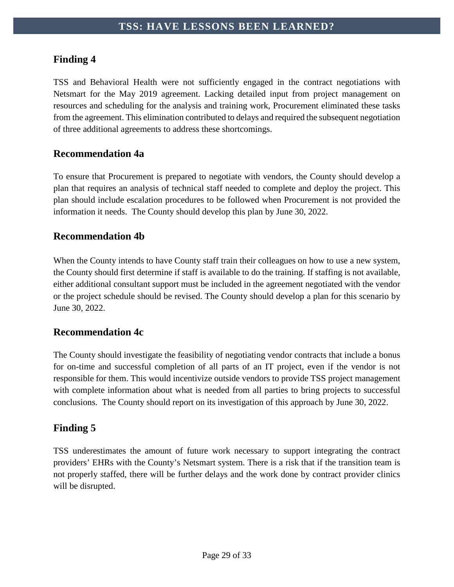# <span id="page-29-0"></span>**Finding 4**

TSS and Behavioral Health were not sufficiently engaged in the contract negotiations with Netsmart for the May 2019 agreement. Lacking detailed input from project management on resources and scheduling for the analysis and training work, Procurement eliminated these tasks from the agreement. This elimination contributed to delays and required the subsequent negotiation of three additional agreements to address these shortcomings.

# **Recommendation 4a**

To ensure that Procurement is prepared to negotiate with vendors, the County should develop a plan that requires an analysis of technical staff needed to complete and deploy the project. This plan should include escalation procedures to be followed when Procurement is not provided the information it needs. The County should develop this plan by June 30, 2022.

### **Recommendation 4b**

When the County intends to have County staff train their colleagues on how to use a new system, the County should first determine if staff is available to do the training. If staffing is not available, either additional consultant support must be included in the agreement negotiated with the vendor or the project schedule should be revised. The County should develop a plan for this scenario by June 30, 2022.

### **Recommendation 4c**

The County should investigate the feasibility of negotiating vendor contracts that include a bonus for on-time and successful completion of all parts of an IT project, even if the vendor is not responsible for them. This would incentivize outside vendors to provide TSS project management with complete information about what is needed from all parties to bring projects to successful conclusions. The County should report on its investigation of this approach by June 30, 2022.

# <span id="page-29-1"></span>**Finding 5**

TSS underestimates the amount of future work necessary to support integrating the contract providers' EHRs with the County's Netsmart system. There is a risk that if the transition team is not properly staffed, there will be further delays and the work done by contract provider clinics will be disrupted.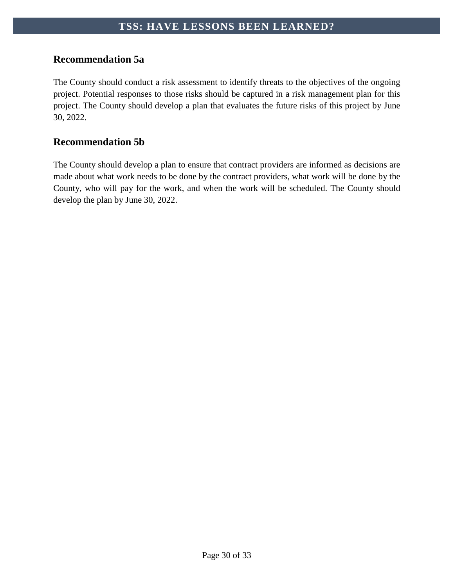# **Recommendation 5a**

The County should conduct a risk assessment to identify threats to the objectives of the ongoing project. Potential responses to those risks should be captured in a risk management plan for this project. The County should develop a plan that evaluates the future risks of this project by June 30, 2022.

# **Recommendation 5b**

The County should develop a plan to ensure that contract providers are informed as decisions are made about what work needs to be done by the contract providers, what work will be done by the County, who will pay for the work, and when the work will be scheduled. The County should develop the plan by June 30, 2022.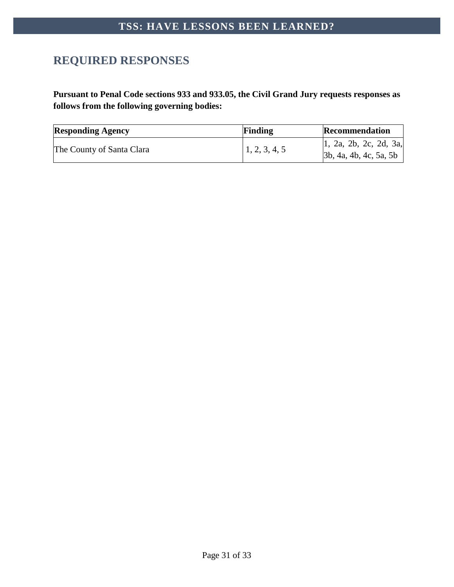# <span id="page-31-0"></span>**REQUIRED RESPONSES**

**Pursuant to Penal Code sections 933 and 933.05, the Civil Grand Jury requests responses as follows from the following governing bodies:**

| <b>Responding Agency</b>  | Finding       | <b>Recommendation</b>                                          |
|---------------------------|---------------|----------------------------------------------------------------|
| The County of Santa Clara | 1, 2, 3, 4, 5 | $\vert 1, 2a, 2b, 2c, 2d, 3a, \vert$<br>3b, 4a, 4b, 4c, 5a, 5b |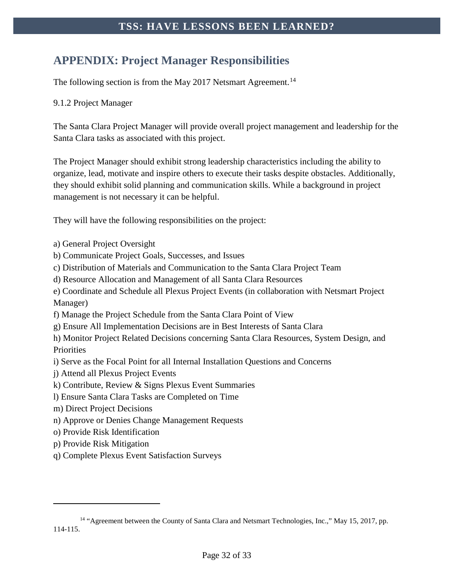# <span id="page-32-0"></span>**APPENDIX: Project Manager Responsibilities**

The following section is from the May 2017 Netsmart Agreement.<sup>[14](#page-32-1)</sup>

#### 9.1.2 Project Manager

The Santa Clara Project Manager will provide overall project management and leadership for the Santa Clara tasks as associated with this project.

The Project Manager should exhibit strong leadership characteristics including the ability to organize, lead, motivate and inspire others to execute their tasks despite obstacles. Additionally, they should exhibit solid planning and communication skills. While a background in project management is not necessary it can be helpful.

They will have the following responsibilities on the project:

- a) General Project Oversight
- b) Communicate Project Goals, Successes, and Issues
- c) Distribution of Materials and Communication to the Santa Clara Project Team
- d) Resource Allocation and Management of all Santa Clara Resources
- e) Coordinate and Schedule all Plexus Project Events (in collaboration with Netsmart Project Manager)
- f) Manage the Project Schedule from the Santa Clara Point of View
- g) Ensure All Implementation Decisions are in Best Interests of Santa Clara
- h) Monitor Project Related Decisions concerning Santa Clara Resources, System Design, and **Priorities**
- i) Serve as the Focal Point for all Internal Installation Questions and Concerns
- j) Attend all Plexus Project Events
- k) Contribute, Review & Signs Plexus Event Summaries
- l) Ensure Santa Clara Tasks are Completed on Time
- m) Direct Project Decisions
- n) Approve or Denies Change Management Requests
- o) Provide Risk Identification
- p) Provide Risk Mitigation

 $\overline{a}$ 

q) Complete Plexus Event Satisfaction Surveys

<span id="page-32-1"></span><sup>&</sup>lt;sup>14</sup> "Agreement between the County of Santa Clara and Netsmart Technologies, Inc.," May 15, 2017, pp. 114-115.